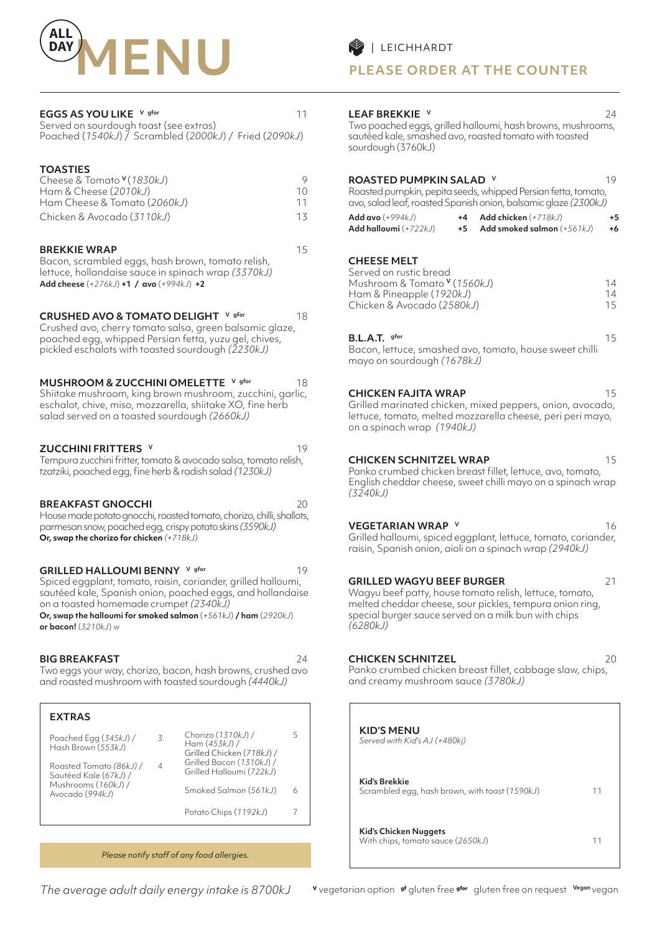

| EGGS AS YOU LIKE V gfor<br>Served on sourdough toast (see extras)<br>Poached (1540kJ) / Scrambled (2000kJ) / Fried (2090kJ)                                                                                                                                                                                       | 11                  |
|-------------------------------------------------------------------------------------------------------------------------------------------------------------------------------------------------------------------------------------------------------------------------------------------------------------------|---------------------|
| <b>TOASTIES</b><br>Cheese & Tomato V (1830kJ)<br>Ham & Cheese (2010kJ)<br>Ham Cheese & Tomato (2060kJ)<br>Chicken & Avocado (3110kJ)                                                                                                                                                                              | 9<br>10<br>11<br>13 |
| <b>BREKKIE WRAP</b><br>Bacon, scrambled eggs, hash brown, tomato relish,<br>lettuce, hollandaise sauce in spinach wrap (3370kJ)<br>Add cheese (+276kJ) +1 / avo (+994kJ) +2                                                                                                                                       | 15                  |
| CRUSHED AVO & TOMATO DELIGHT V gfor<br>Crushed avo, cherry tomato salsa, green balsamic glaze,<br>poached egg, whipped Persian fetta, yuzu gel, chives,<br>pickled eschalots with toasted sourdough (2230kJ)                                                                                                      | 18                  |
| V gfor<br><b>MUSHROOM &amp; ZUCCHINI OMELETTE</b><br>Shiitake mushroom, king brown mushroom, zucchini, garlic,<br>eschalot, chive, miso, mozzarella, shiitake XO, fine herb<br>salad served on a toasted sourdough (2660kJ)                                                                                       | 18                  |
| <b>ZUCCHINI FRITTERS</b><br>Tempura zucchini fritter, tomato & avocado salsa, tomato relish,<br>tzatziki, poached egg, fine herb & radish salad (1230kJ)                                                                                                                                                          | 19                  |
| <b>BREAKFAST GNOCCHI</b><br>House made potato gnocchi, roasted tomato, chorizo, chilli, shallots,<br>parmesan snow, poached egg, crispy potato skins (3590kJ)<br>Or, swap the chorizo for chicken (+718kJ)                                                                                                        | 20                  |
| GRILLED HALLOUMI BENNY V gfor<br>Spiced eggplant, tomato, raisin, coriander, grilled halloumi,<br>sautéed kale, Spanish onion, poached eggs, and hollandaise<br>on a toasted homemade crumpet (2340kJ)<br>Or, swap the halloumi for smoked salmon (+561kJ) / ham (2920kJ)<br><b>or bacon!</b> ( <i>3210kJ</i> ) w | 19                  |
| <b>BIG BREAKFAST</b><br>Two eggs your way, chorizo, bacon, hash browns, crushed avo<br>and roasted mushroom with toasted sourdough (4440kJ)                                                                                                                                                                       | 24                  |

| <b>EXTRAS</b>                                    |   |                                                                   |   |
|--------------------------------------------------|---|-------------------------------------------------------------------|---|
| Poached Egg (345kJ) /<br>Hash Brown (553kJ)      | 3 | Chorizo (1310kJ) /<br>Ham $(453k)$ /<br>Grilled Chicken (718kJ) / |   |
| Roasted Tomato (86kJ) /<br>Sautéed Kale (67kJ) / | 4 | Grilled Bacon (1310kJ) /<br>Grilled Halloumi (722kJ)              |   |
| Mushrooms (160kJ) /<br>Avocado (994kJ)           |   | Smoked Salmon (561kJ)                                             | 6 |
|                                                  |   | Potato Chips (1192kJ)                                             |   |

*Please notify staff of any food allergies.*

**PLEASE ORDER AT THE COUNTER**

| 11<br>J)            | LEAF BREKKIE V<br>Two poached eggs, grilled halloumi, hash browns, mushrooms,<br>sautéed kale, smashed avo, roasted tomato with toasted<br>sourdough (3760kJ)                                                                                                                    | 24             |
|---------------------|----------------------------------------------------------------------------------------------------------------------------------------------------------------------------------------------------------------------------------------------------------------------------------|----------------|
| 9<br>10<br>11<br>13 | ROASTED PUMPKIN SALAD V<br>Roasted pumpkin, pepita seeds, whipped Persian fetta, tomato,<br>avo, salad leaf, roasted Spanish onion, balsamic glaze (2300kJ)<br>Add avo $(+994kJ)$<br>Add chicken (+718kJ)<br>$+4$<br>Add halloumi (+722kJ)<br>+5<br>Add smoked salmon $(+561kJ)$ | 19<br>+5<br>+6 |
| 15                  | <b>CHEESE MELT</b><br>Served on rustic bread<br>Mushroom & Tomato V (1560kJ)<br>Ham & Pineapple (1920kJ)<br>Chicken & Avocado (2580kJ)                                                                                                                                           | 14<br>14<br>15 |
| 18                  | B.L.A.T. gfor<br>Bacon, lettuce, smashed avo, tomato, house sweet chilli<br>mayo on sourdough (1678kJ)                                                                                                                                                                           | 15             |
| 18<br>lic,          | <b>CHICKEN FAJITA WRAP</b><br>Grilled marinated chicken, mixed peppers, onion, avocado,<br>lettuce, tomato, melted mozzarella cheese, peri peri mayo,<br>on a spinach wrap (1940kJ)                                                                                              | 15             |
| 19<br>sh,<br>20     | <b>CHICKEN SCHNITZEL WRAP</b><br>Panko crumbed chicken breast fillet, lettuce, avo, tomato,<br>English cheddar cheese, sweet chilli mayo on a spinach wrap<br>(3240kJ)                                                                                                           | 15             |
| ots,                | <b>VEGETARIAN WRAP V</b><br>Grilled halloumi, spiced eggplant, lettuce, tomato, coriander,<br>raisin, Spanish onion, aioli on a spinach wrap (2940kJ)                                                                                                                            | 16             |
| 19<br>۱İ,<br>aise   | <b>GRILLED WAGYU BEEF BURGER</b><br>Wagyu beef patty, house tomato relish, lettuce, tomato,<br>melted cheddar cheese, sour pickles, tempura onion ring,<br>special burger sauce served on a milk bun with chips<br>(6280 kJ)                                                     | 21             |
| 24<br>OVK           | <b>CHICKEN SCHNITZEL</b><br>Panko crumbed chicken breast fillet, cabbage slaw, chips,<br>and creamy mushroom sauce (3780kJ)                                                                                                                                                      | 20             |

| <b>KID'S MENU</b><br>Served with Kid's AJ (+480kj)              |    |
|-----------------------------------------------------------------|----|
| Kid's Brekkie<br>Scrambled egg, hash brown, with toast (1590kJ) | 11 |
| Kid's Chicken Nuggets<br>With chips, tomato sauce (2650kJ)      | 11 |